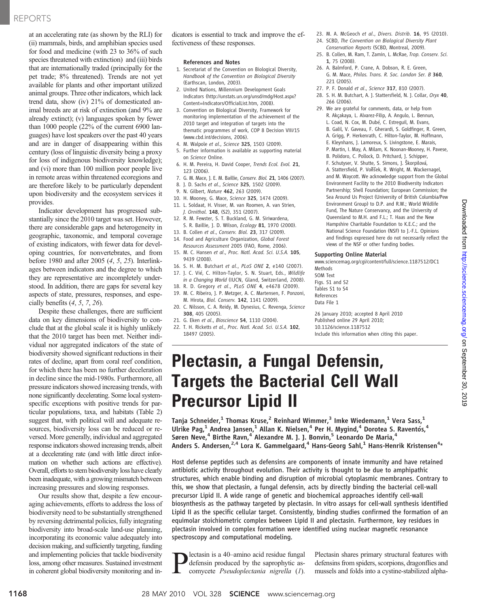## REPORTS

at an accelerating rate (as shown by the RLI) for (ii) mammals, birds, and amphibian species used for food and medicine (with 23 to 36% of such species threatened with extinction) and (iii) birds that are internationally traded (principally for the pet trade; 8% threatened). Trends are not yet available for plants and other important utilized animal groups. Three other indicators, which lack trend data, show (iv) 21% of domesticated animal breeds are at risk of extinction (and 9% are already extinct); (v) languages spoken by fewer than 1000 people (22% of the current 6900 languages) have lost speakers over the past 40 years and are in danger of disappearing within this century (loss of linguistic diversity being a proxy for loss of indigenous biodiversity knowledge); and (vi) more than 100 million poor people live in remote areas within threatened ecoregions and are therefore likely to be particularly dependent upon biodiversity and the ecosystem services it provides.

Indicator development has progressed substantially since the 2010 target was set. However, there are considerable gaps and heterogeneity in geographic, taxonomic, and temporal coverage of existing indicators, with fewer data for developing countries, for nonvertebrates, and from before 1980 and after 2005 (4, 5, 25). Interlinkages between indicators and the degree to which they are representative are incompletely understood. In addition, there are gaps for several key aspects of state, pressures, responses, and especially benefits  $(4, 5, 7, 26)$ .

Despite these challenges, there are sufficient data on key dimensions of biodiversity to conclude that at the global scale it is highly unlikely that the 2010 target has been met. Neither individual nor aggregated indicators of the state of biodiversity showed significant reductions in their rates of decline, apart from coral reef condition, for which there has been no further deceleration in decline since the mid-1980s. Furthermore, all pressure indicators showed increasing trends, with none significantly decelerating. Some local systemspecific exceptions with positive trends for particular populations, taxa, and habitats (Table 2) suggest that, with political will and adequate resources, biodiversity loss can be reduced or reversed. More generally, individual and aggregated response indicators showed increasing trends, albeit at a decelerating rate (and with little direct information on whether such actions are effective). Overall, efforts to stem biodiversity loss have clearly been inadequate, with a growing mismatch between increasing pressures and slowing responses.

Our results show that, despite a few encouraging achievements, efforts to address the loss of biodiversity need to be substantially strengthened by reversing detrimental policies, fully integrating biodiversity into broad-scale land-use planning, incorporating its economic value adequately into decision making, and sufficiently targeting, funding and implementing policies that tackle biodiversity loss, among other measures. Sustained investment in coherent global biodiversity monitoring and indicators is essential to track and improve the effectiveness of these responses.

#### References and Notes

- 1. Secretariat of the Convention on Biological Diversity, Handbook of the Convention on Biological Diversity (Earthscan, London, 2003).
- 2. United Nations, Millennium Development Goals Indicators (http://unstats.un.org/unsd/mdg/Host.aspx? Content=Indicators/OfficialList.htm, 2008).
- 3. Convention on Biological Diversity, Framework for monitoring implementation of the achievement of the 2010 target and integration of targets into the thematic programmes of work, COP 8 Decision VIII/15 (www.cbd.int/decisions, 2006).
- 4. M. Walpole et al., Science 325, 1503 (2009).
- 5. Further information is available as supporting material on Science Online.
- 6. H. M. Pereira, H. David Cooper, Trends Ecol. Evol. 21, 123 (2006).
- 7. G. M. Mace, J. E. M. Baillie, Conserv. Biol. 21, 1406 (2007).
- 8. J. D. Sachs et al., Science 325, 1502 (2009).
- 9. N. Gilbert, Nature 462, 263 (2009).
- 10. H. Mooney, G. Mace, Science 325, 1474 (2009).
- 11. L. Soldaat, H. Visser, M. van Roomen, A. van Strien, J. Ornithol. 148, (S2), 351 (2007).
- 12. R. M. Fewster, S. T. Buckland, G. M. Siriwardena, S. R. Baillie, J. D. Wilson, Ecology 81, 1970 (2000).
- 13. B. Collen et al., Conserv. Biol. 23, 317 (2009).
- 14. Food and Agriculture Organization, Global Forest Resources Assessment 2005 (FAO, Rome, 2006).
- 15. M. C. Hansen et al., Proc. Natl. Acad. Sci. U.S.A. 105, 9439 (2008).
- 16. S. H. M. Butchart et al., PLoS ONE 2, e140 (2007).
- 17. J. C. Vié, C. Hilton-Taylor, S. N. Stuart, Eds., Wildlife in a Changing World (IUCN, Gland, Switzerland, 2008).
- 18. R. D. Gregory et al., PLoS ONE 4, e4678 (2009). 19. M. C. Ribeiro, J. P. Metzger, A. C. Martensen, F. Ponzoni,
- M. Hirota, Biol. Conserv. 142, 1141 (2009). 20. C. Nilsson, C. A. Reidy, M. Dynesius, C. Revenga, Science
- 308, 405 (2005).
- 21. G. Eken et al., Bioscience 54, 1110 (2004).
- 22. T. H. Ricketts et al., Proc. Natl. Acad. Sci. U.S.A. 102, 18497 (2005).
- 23. M. A. McGeoch et al., Divers. Distrib. 16, 95 (2010).
- 24. SCBD, The Convention on Biological Diversity Plant Conservation Reports (SCBD, Montreal, 2009).
- 25. B. Collen, M. Ram, T. Zamin, L. McRae, Trop. Conserv. Sci. 1, 75 (2008).
- 26. A. Balmford, P. Crane, A. Dobson, R. E. Green, G. M. Mace, Philos. Trans. R. Soc. London Ser. B 360, 221 (2005).
- 27. P. F. Donald et al., Science 317, 810 (2007).
- 28. S. H. M. Butchart, A. J. Stattersfield, N. J. Collar, Oryx 40, 266 (2006).
- 29. We are grateful for comments, data, or help from R. Akçakaya, L. Alvarez-Filip, A. Angulo, L. Bennun, L. Coad, N. Cox, M. Dubé, C. Estreguil, M. Evans,
	- B. Galil, V. Gaveau, F. Gherardi, S. Goldfinger, R. Green, A. Grigg, P. Herkenrath, C. Hilton-Taylor, M. Hoffmann,
	- E. Kleynhans, J. Lamoreux, S. Livingstone, E. Marais,
	- P. Martin, I. May, A. Milam, K. Noonan-Mooney, H. Pavese,
	- B. Polidoro, C. Pollock, D. Pritchard, J. Schipper,
	- F. Schutyser, V. Shutte, S. Simons, J. S*ˇ*korpilová,
	- A. Stattersfield, P. Voříšek, R. Wright, M. Wackernagel, and M. Waycott. We acknowledge support from the Global Environment Facility to the 2010 Biodiversity Indicators Partnership; Shell Foundation; European Commission; the Sea Around Us Project (University of British Columbia/Pew Environment Group) to D.P. and R.W.; World Wildlife Fund, The Nature Conservancy, and the University of Queensland to M.H. and F.L.; T. Haas and the New Hampshire Charitable Foundation to K.E.C.; and the National Science Foundation (NSF) to J.-F.L. Opinions and findings expressed here do not necessarily reflect the views of the NSF or other funding bodies.

#### Supporting Online Material

www.sciencemag.org/cgi/content/full/science.1187512/DC1 **Methods** 

SOM Text Figs. S1 and S2 Tables S1 to S4 References Data File 1

26 January 2010; accepted 8 April 2010 Published online 29 April 2010; 10.1126/science.1187512 Include this information when citing this paper.

# Plectasin, a Fungal Defensin, Targets the Bacterial Cell Wall Precursor Lipid II

Tanja Schneider,<sup>1</sup> Thomas Kruse,<sup>2</sup> Reinhard Wimmer,<sup>3</sup> Imke Wiedemann,<sup>1</sup> Vera Sass,<sup>1</sup> Ulrike Pag,<sup>1</sup> Andrea Jansen,<sup>1</sup> Allan K. Nielsen,<sup>4</sup> Per H. Mygind,<sup>4</sup> Dorotea S. Raventós,<sup>4</sup> Søren Neve,<sup>4</sup> Birthe Ravn,<sup>4</sup> Alexandre M. J. J. Bonvin,<sup>5</sup> Leonardo De Maria,<sup>4</sup> Anders S. Andersen,<sup>2,4</sup> Lora K. Gammelgaard,<sup>4</sup> Hans-Georg Sahl,<sup>1</sup> Hans-Henrik Kristensen<sup>4</sup>\*

Host defense peptides such as defensins are components of innate immunity and have retained antibiotic activity throughout evolution. Their activity is thought to be due to amphipathic structures, which enable binding and disruption of microbial cytoplasmic membranes. Contrary to this, we show that plectasin, a fungal defensin, acts by directly binding the bacterial cell-wall precursor Lipid II. A wide range of genetic and biochemical approaches identify cell-wall biosynthesis as the pathway targeted by plectasin. In vitro assays for cell-wall synthesis identified Lipid II as the specific cellular target. Consistently, binding studies confirmed the formation of an equimolar stoichiometric complex between Lipid II and plectasin. Furthermore, key residues in plectasin involved in complex formation were identified using nuclear magnetic resonance spectroscopy and computational modeling.

lectasin is a 40–amino acid residue fungal defensin produced by the saprophytic ascomycete Pseudoplectania nigrella (1).

Plectasin shares primary structural features with defensins from spiders, scorpions, dragonflies and mussels and folds into a cystine-stabilized alpha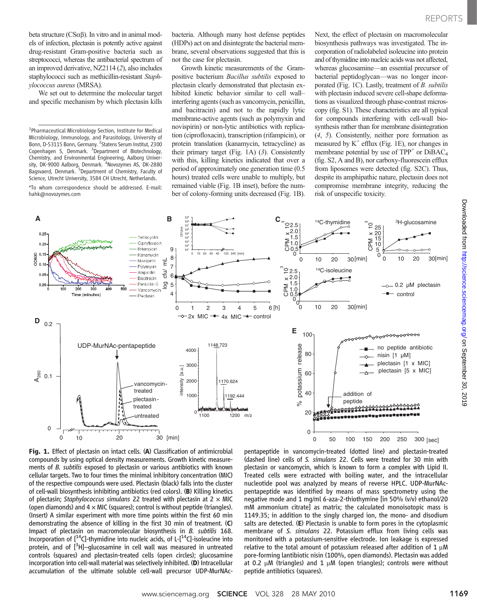beta structure  $(CS\alpha\beta)$ . In vitro and in animal models of infection, plectasin is potently active against drug-resistant Gram-positive bacteria such as streptococci, whereas the antibacterial spectrum of an improved derivative, NZ2114 (2), also includes staphylococci such as methicillin-resistant Staphylococcus aureus (MRSA).

We set out to determine the molecular target and specific mechanism by which plectasin kills

\*To whom correspondence should be addressed. E-mail: hahk@novozymes.com

bacteria. Although many host defense peptides (HDPs) act on and disintegrate the bacterial membrane, several observations suggested that this is not the case for plectasin.

Growth kinetic measurements of the Grampositive bacterium Bacillus subtilis exposed to plectasin clearly demonstrated that plectasin exhibited kinetic behavior similar to cell wall– interfering agents (such as vancomycin, penicillin, and bacitracin) and not to the rapidly lytic membrane-active agents (such as polymyxin and novispirin) or non-lytic antibiotics with replication (ciprofloxacin), transcription (rifampicin), or protein translation (kanamycin, tetracycline) as their primary target (Fig. 1A) (3). Consistently with this, killing kinetics indicated that over a period of approximately one generation time (0.5 hours) treated cells were unable to multiply, but remained viable (Fig. 1B inset), before the number of colony-forming units decreased (Fig. 1B).

Next, the effect of plectasin on macromolecular biosynthesis pathways was investigated. The incorporation of radiolabeled isoleucine into protein and of thymidine into nucleic acids was not affected, whereas glucosamine—an essential precursor of bacterial peptidoglycan—was no longer incorporated (Fig. 1C). Lastly, treatment of B. subtilis with plectasin induced severe cell-shape deformations as visualized through phase-contrast microscopy (fig. S1). These characteristics are all typical for compounds interfering with cell-wall biosynthesis rather than for membrane disintegration (4, 5). Consistently, neither pore formation as measured by  $K^+$  efflux (Fig. 1E), nor changes in membrane potential by use of  $TPP^+$  or  $DiBAC_4$ (fig. S2, A and B), nor carboxy-fluorescein efflux from liposomes were detected (fig. S2C). Thus, despite its amphipathic nature, plectasin does not compromise membrane integrity, reducing the risk of unspecific toxicity.



Fig. 1. Effect of plectasin on intact cells. (A) Classification of antimicrobial compounds by using optical density measurements. Growth kinetic measurements of B. subtilis exposed to plectasin or various antibiotics with known cellular targets. Two to four times the minimal inhibitory concentration (MIC) of the respective compounds were used. Plectasin (black) falls into the cluster of cell-wall biosynthesis inhibiting antibiotics (red colors). (B) Killing kinetics of plectasin; Staphylococcus simulans 22 treated with plectasin at  $2 \times MIC$ (open diamonds) and  $4 \times$  MIC (squares); control is without peptide (triangles). (Insert) A similar experiment with more time points within the first 60 min demonstrating the absence of killing in the first 30 min of treatment. (C) Impact of plectasin on macromolecular biosynthesis in B. subtilis 168. Incorporation of  $[$ <sup>14</sup>C]-thymidine into nucleic acids, of L- $[$ <sup>14</sup>C]-isoleucine into protein, and of [<sup>3</sup>H]-glucosamine in cell wall was measured in untreated controls (squares) and plectasin-treated cells (open circles); glucosamine incorporation into cell-wall material was selectively inhibited. (D) Intracellular accumulation of the ultimate soluble cell-wall precursor UDP-MurNAc-

pentapeptide in vancomycin-treated (dotted line) and plectasin-treated (dashed line) cells of S. simulans 22. Cells were treated for 30 min with plectasin or vancomycin, which is known to form a complex with Lipid II. Treated cells were extracted with boiling water, and the intracellular nucleotide pool was analyzed by means of reverse HPLC. UDP-MurNAcpentapeptide was identified by means of mass spectrometry using the negative mode and 1 mg/ml 6-aza-2-thiothymine [in 50% (v/v) ethanol/20 mM ammonium citrate] as matrix; the calculated monoisotopic mass is 1149.35; in addition to the singly charged ion, the mono- and disodium salts are detected. (E) Plectasin is unable to form pores in the cytoplasmic membrane of S. simulans 22. Potassium efflux from living cells was monitored with a potassium-sensitive electrode. Ion leakage is expressed relative to the total amount of potassium released after addition of  $1 \mu M$ pore-forming lantibiotic nisin (100%, open diamonds). Plectasin was added at 0.2  $\mu$ M (triangles) and 1  $\mu$ M (open triangles); controls were without peptide antibiotics (squares).

Downloaded from http://science.sciencemag.org/ on September 30, 2019 Downloaded from <http://science.sciencemag.org/> on September 30, 2019

<sup>&</sup>lt;sup>1</sup>Pharmaceutical Microbiology Section, Institute for Medical Microbiology, Immunology, and Parasitology, University of Bonn, D-53115 Bonn, Germany. <sup>2</sup> Statens Serum Institut, 2300 Copenhagen S, Denmark. <sup>3</sup> Department of Biotechnology, Chemistry, and Environmental Engineering, Aalborg University, DK-9000 Aalborg, Denmark. <sup>4</sup>Novozymes AS, DK-2880 Bagsvaerd, Denmark. <sup>5</sup>Department of Chemistry, Faculty of Science, Utrecht University, 3584 CH Utrecht, Netherlands.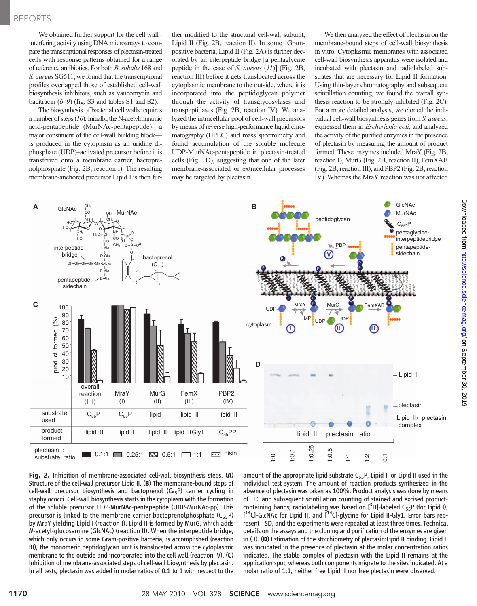### REPORTS

We obtained further support for the cell wall– interfering activity using DNA microarrays to compare the transcriptional responses of plectasin-treated cells with response patterns obtained for a range of reference antibiotics. For both B. subtilis 168 and S. aureus SG511, we found that the transcriptional profiles overlapped those of established cell-wall biosynthesis inhibitors, such as vancomycin and bacitracin (6–9) (fig. S3 and tables S1 and S2).

The biosynthesis of bacterial cell walls requires a number of steps (10). Initially, the N-acetylmuramic acid-pentapeptide (MurNAc-pentapeptide)—a major constituent of the cell-wall building block is produced in the cytoplasm as an uridine diphosphate (UDP)–activated precursor before it is transferred onto a membrane carrier, bactoprenolphosphate (Fig. 2B, reaction I). The resulting membrane-anchored precursor Lipid I is then further modified to the structural cell-wall subunit, Lipid II (Fig. 2B, reaction II). In some Grampositive bacteria, Lipid II (Fig. 2A) is further decorated by an interpeptide bridge [a pentaglycine peptide in the case of S. aureus (11)] (Fig. 2B, reaction III) before it gets translocated across the cytoplasmic membrane to the outside, where it is incorporated into the peptidoglycan polymer through the activity of transglycosylases and transpeptidases (Fig. 2B, reaction IV). We analyzed the intracellular pool of cell-wall precursors by means of reverse high-performance liquid chromatography (HPLC) and mass spectrometry and found accumulation of the soluble molecule UDP-MurNAc-pentapeptide in plectasin-treated cells (Fig. 1D), suggesting that one of the later membrane-associated or extracellular processes may be targeted by plectasin.

We then analyzed the effect of plectasin on the membrane-bound steps of cell-wall biosynthesis in vitro. Cytoplasmic membranes with associated cell-wall biosynthesis apparatus were isolated and incubated with plectasin and radiolabeled substrates that are necessary for Lipid II formation. Using thin-layer chromatography and subsequent scintillation counting, we found the overall synthesis reaction to be strongly inhibited (Fig. 2C). For a more detailed analysis, we cloned the individual cell-wall biosynthesis genes from S. aureus, expressed them in Escherichia coli, and analyzed the activity of the purified enzymes in the presence of plectasin by measuring the amount of product formed. These enzymes included MraY (Fig. 2B, reaction I), MurG (Fig. 2B, reaction II), FemXAB (Fig. 2B, reaction III), and PBP2 (Fig. 2B, reaction IV). Whereas the MraY reaction was not affected



Fig. 2. Inhibition of membrane-associated cell-wall biosynthesis steps. (A) Structure of the cell-wall precursor Lipid II. (B) The membrane-bound steps of cell-wall precursor biosynthesis and bactoprenol  $(C_{55}P)$  carrier cycling in staphylococci. Cell-wall biosynthesis starts in the cytoplasm with the formation of the soluble precursor UDP-MurNAc-pentapeptide (UDP-MurNAc-pp). This precursor is linked to the membrane carrier bactoprenolphosphate  $(C_{55}P)$ by MraY yielding Lipid I (reaction I). Lipid II is formed by MurG, which adds N-acetyl-glucosamine (GlcNAc) (reaction II). When the interpeptide bridge, which only occurs in some Gram-positive bacteria, is accomplished (reaction III), the monomeric peptidoglycan unit is translocated across the cytoplasmic membrane to the outside and incorporated into the cell wall (reaction IV). (C) Inhibition of membrane-associated steps of cell-wall biosynthesis by plectasin. In all tests, plectasin was added in molar ratios of 0.1 to 1 with respect to the

amount of the appropriate lipid substrate  $C_{55}P$ , Lipid I, or Lipid II used in the individual test system. The amount of reaction products synthesized in the absence of plectasin was taken as 100%. Product analysis was done by means of TLC and subsequent scintillation counting of stained and excised productcontaining bands; radiolabeling was based on  $[^3H]$ -labeled C<sub>55</sub>P (for Lipid I), [<sup>14</sup>C]-GlcNAc for Lipid II, and [<sup>14</sup>C]-glycine for Lipid II-Gly1. Error bars represent  $\pm$ SD, and the experiments were repeated at least three times. Technical details on the assays and the cloning and purification of the enzymes are given in (3). (D) Estimation of the stoichiometry of plectasin:Lipid II binding. Lipid II was incubated in the presence of plectasin at the molar concentration ratios indicated. The stable complex of plectasin with the Lipid II remains at the application spot, whereas both components migrate to the sites indicated. At a molar ratio of 1:1, neither free Lipid II nor free plectasin were observed.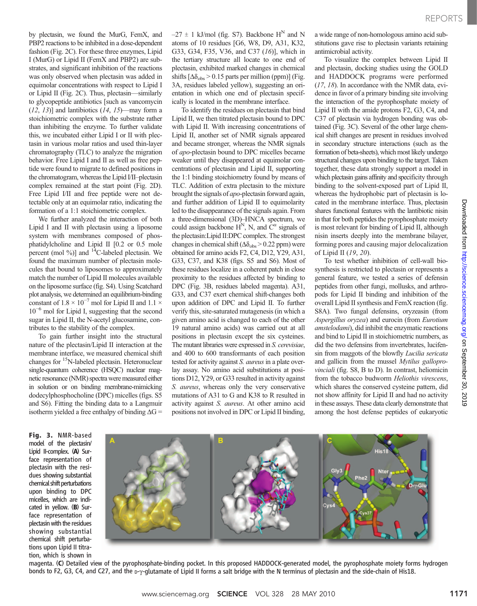by plectasin, we found the MurG, FemX, and PBP2 reactions to be inhibited in a dose-dependent fashion (Fig. 2C). For these three enzymes, Lipid I (MurG) or Lipid II (FemX and PBP2) are substrates, and significant inhibition of the reactions was only observed when plectasin was added in equimolar concentrations with respect to Lipid I or Lipid II (Fig. 2C). Thus, plectasin—similarly to glycopeptide antibiotics [such as vancomycin  $(12, 13)$ ] and lantibiotics  $(14, 15)$ —may form a stoichiometric complex with the substrate rather than inhibiting the enzyme. To further validate this, we incubated either Lipid I or II with plectasin in various molar ratios and used thin-layer chromatography (TLC) to analyze the migration behavior. Free Lipid I and II as well as free peptide were found to migrate to defined positions in the chromatogram, whereas the Lipid I/II–plectasin complex remained at the start point (Fig. 2D). Free Lipid I/II and free peptide were not detectable only at an equimolar ratio, indicating the formation of a 1:1 stoichiometric complex.

We further analyzed the interaction of both Lipid I and II with plectasin using a liposome system with membranes composed of phosphatidylcholine and Lipid II [0.2 or 0.5 mole percent (mol  $\%$ )] and <sup>14</sup>C-labeled plectasin. We found the maximum number of plectasin molecules that bound to liposomes to approximately match the number of Lipid II molecules available on the liposome surface (fig. S4). Using Scatchard plot analysis, we determined an equilibrium-binding constant of  $1.8 \times 10^{-7}$  mol for Lipid II and  $1.1 \times$  $10^{-6}$  mol for Lipid I, suggesting that the second sugar in Lipid II, the N-acetyl glucosamine, contributes to the stability of the complex.

To gain further insight into the structural nature of the plectasin/Lipid II interaction at the membrane interface, we measured chemical shift changes for <sup>15</sup>N-labeled plectasin. Heteronuclear single-quantum coherence (HSQC) nuclear magnetic resonance (NMR) spectra were measured either in solution or on binding membrane-mimicking dodecylphosphocholine (DPC) micelles (figs. S5 and S6). Fitting the binding data to a Langmuir isotherm yielded a free enthalpy of binding  $\Delta G =$ 

 $-27 \pm 1$  kJ/mol (fig. S7). Backbone H<sup>N</sup> and N atoms of 10 residues [G6, W8, D9, A31, K32, G33, G34, F35, V36, and C37 (16)], which in the tertiary structure all locate to one end of plectasin, exhibited marked changes in chemical shifts  $[\Delta \delta_{obs} > 0.15$  parts per million (ppm)] (Fig. 3A, residues labeled yellow), suggesting an orientation in which one end of plectasin specifically is located in the membrane interface.

To identify the residues on plectasin that bind Lipid II, we then titrated plectasin bound to DPC with Lipid II. With increasing concentrations of Lipid II, another set of NMR signals appeared and became stronger, whereas the NMR signals of apo-plectasin bound to DPC micelles became weaker until they disappeared at equimolar concentrations of plectasin and Lipid II, supporting the 1:1 binding stoichiometry found by means of TLC. Addition of extra plectasin to the mixture brought the signals of apo-plectasin forward again, and further addition of Lipid II to equimolarity led to the disappearance of the signals again. From a three-dimensional (3D)–HNCA spectrum, we could assign backbone  $H^N$ , N, and  $C^{\alpha}$  signals of the plectasin:Lipid II:DPC complex. The strongest changes in chemical shift ( $\Delta \delta_{\rm obs}$  > 0.22 ppm) were obtained for amino acids F2, C4, D12, Y29, A31, G33, C37, and K38 (figs. S5 and S6). Most of these residues localize in a coherent patch in close proximity to the residues affected by binding to DPC (Fig. 3B, residues labeled magenta). A31, G33, and C37 exert chemical shift-changes both upon addition of DPC and Lipid II. To further verify this, site-saturated mutagenesis (in which a given amino acid is changed to each of the other 19 natural amino acids) was carried out at all positions in plectasin except the six cysteines. The mutant libraries were expressed in S. cerevisiae, and 400 to 600 transformants of each position tested for activity against S. *aureus* in a plate overlay assay. No amino acid substitutions at positions D12, Y29, or G33 resulted in activity against S. aureus, whereas only the very conservative mutations of A31 to G and K38 to R resulted in activity against S. aureus. At other amino acid positions not involved in DPC or Lipid II binding,

a wide range of non-homologous amino acid substitutions gave rise to plectasin variants retaining antimicrobial activity.

To visualize the complex between Lipid II and plectasin, docking studies using the GOLD and HADDOCK programs were performed (17, 18). In accordance with the NMR data, evidence in favor of a primary binding site involving the interaction of the pyrophosphate moiety of Lipid II with the amide protons F2, G3, C4, and C37 of plectasin via hydrogen bonding was obtained (Fig. 3C). Several of the other large chemical shift changes are present in residues involved in secondary structure interactions (such as the formation of beta-sheets), which most likely undergo structural changes upon binding to the target. Taken together, these data strongly support a model in which plectasin gains affinity and specificity through binding to the solvent-exposed part of Lipid II, whereas the hydrophobic part of plectasin is located in the membrane interface. Thus, plectasin shares functional features with the lantibiotic nisin in that for both peptides the pyrophosphate moiety is most relevant for binding of Lipid II, although nisin inserts deeply into the membrane bilayer, forming pores and causing major delocalization of Lipid II (19, 20).

To test whether inhibition of cell-wall biosynthesis is restricted to plectasin or represents a general feature, we tested a series of defensin peptides from other fungi, mollusks, and arthropods for Lipid II binding and inhibition of the overall Lipid II synthesis and FemX reaction (fig. S8A). Two fungal defensins, oryzeasin (from Aspergillus oryzea) and eurocin (from Eurotium amstelodami), did inhibit the enzymatic reactions and bind to Lipid II in stoichiometric numbers, as did the two defensins from invertebrates, lucifensin from maggots of the blowfly Lucilia sericata and gallicin from the mussel Mytilus galloprovinciali (fig. S8, B to D). In contrast, heliomicin from the tobacco budworm Heliothis virescens, which shares the conserved cysteine pattern, did not show affinity for Lipid II and had no activity in these assays. These data clearly demonstrate that among the host defense peptides of eukaryotic

Fig. 3. NMR-based model of the plectasin/ Lipid II-complex. (A) Surface representation of plectasin with the residues showing substantial chemical shift perturbations upon binding to DPC micelles, which are indicated in yellow. (B) Surface representation of plectasin with the residues showing substantial chemical shift perturbations upon Lipid II titration, which is shown in



magenta. (C) Detailed view of the pyrophosphate-binding pocket. In this proposed HADDOCK-generated model, the pyrophosphate moiety forms hydrogen bonds to F2, G3, C4, and C27, and the  $p-y$ -glutamate of Lipid II forms a salt bridge with the N terminus of plectasin and the side-chain of His18.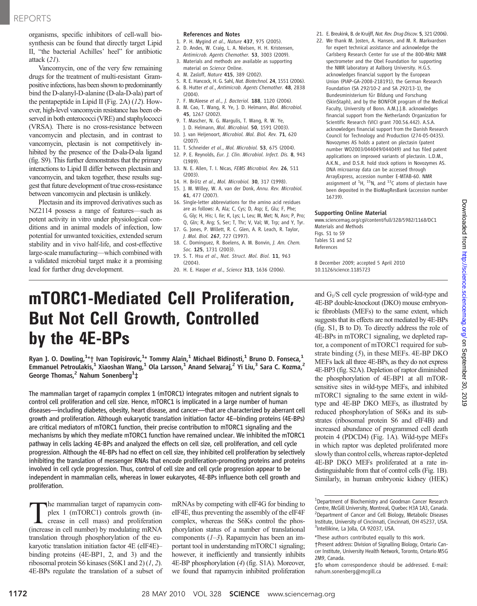organisms, specific inhibitors of cell-wall biosynthesis can be found that directly target Lipid II, "the bacterial Achilles' heel" for antibiotic attack (21).

Vancomycin, one of the very few remaining drugs for the treatment of multi-resistant Grampositive infections, has been shown to predominantly bind the D-alanyl-D-alanine (D-ala-D-ala) part of the pentapeptide in Lipid II (Fig. 2A) (12). However, high-level vancomycin resistance has been observed in both enterococci (VRE) and staphylococci (VRSA). There is no cross-resistance between vancomycin and plectasin, and in contrast to vancomycin, plectasin is not competitively inhibited by the presence of the D-ala-D-ala ligand (fig. S9). This further demonstrates that the primary interactions to Lipid II differ between plectasin and vancomycin, and taken together, these results suggest that future development of true cross-resistance between vancomycin and plectasin is unlikely.

Plectasin and its improved derivatives such as NZ2114 possess a range of features—such as potent activity in vitro under physiological conditions and in animal models of infection, low potential for unwanted toxicities, extended serum stability and in vivo half-life, and cost-effective large-scale manufacturing—which combined with a validated microbial target make it a promising lead for further drug development.

#### References and Notes

- 1. P. H. Mygind et al., Nature 437, 975 (2005).
- 2. D. Andes, W. Craig, L. A. Nielsen, H. H. Kristensen, Antimicrob. Agents Chemother. 53, 3003 (2009).
- 3. Materials and methods are available as supporting material on Science Online.
- 4. M. Zasloff, Nature 415, 389 (2002).
- 5. R. E. Hancock, H. G. Sahl, Nat. Biotechnol. 24, 1551 (2006). 6. B. Hutter et al., Antimicrob. Agents Chemother. 48, 2838
- (2004).
- 7. F. McAleese et al., J. Bacteriol. 188, 1120 (2006). 8. M. Cao, T. Wang, R. Ye, J. D. Helmann, Mol. Microbiol. 45, 1267 (2002).
- 9. T. Mascher, N. G. Margulis, T. Wang, R. W. Ye,
- J. D. Helmann, Mol. Microbiol. 50, 1591 (2003). 10. J. van Heijenoort, Microbiol. Mol. Biol. Rev. 71, 620 (2007).
- 11. T. Schneider et al., Mol. Microbiol. 53, 675 (2004).
- 12. P. E. Reynolds, Eur. J. Clin. Microbiol. Infect. Dis. 8, 943 (1989).
- 13. N. E. Allen, T. I. Nicas, FEMS Microbiol, Rev. 26, 511 (2003).
- 14. H. Brötz et al., Mol. Microbiol. 30, 317 (1998).
- 15. J. M. Willey, W. A. van der Donk, Annu. Rev. Microbiol. 61, 477 (2007).
- 16. Single-letter abbreviations for the amino acid residues are as follows: A, Ala; C, Cys; D, Asp; E, Glu; F, Phe; G, Gly; H, His; I, Ile; K, Lys; L, Leu; M, Met; N, Asn; P, Pro; Q, Gln; R, Arg; S, Ser; T, Thr; V, Val; W, Trp; and Y, Tyr.
- 17. G. Jones, P. Willett, R. C. Glen, A. R. Leach, R. Taylor, J. Mol. Biol. 267, 727 (1997).
- 18. C. Dominguez, R. Boelens, A. M. Bonvin, J. Am. Chem. Soc. 125, 1731 (2003).
- 19. S. T. Hsu et al., Nat. Struct. Mol. Biol. 11, 963 (2004).
- 20. H. E. Hasper et al., Science 313, 1636 (2006).

# mTORC1-Mediated Cell Proliferation, But Not Cell Growth, Controlled by the 4E-BPs

Ryan J. O. Dowling, $^{1\star}$ † Ivan Topisirovic, $^{1\star}$  Tommy Alain, $^{1}$  Michael Bidinosti, $^{1}$  Bruno D. Fonseca, $^{1}$ Emmanuel Petroulakis, $^1$  Xiaoshan Wang, $^1$  Ola Larsson, $^1$  Anand Selvaraj, $^2$  Yi Liu, $^3$  Sara C. Kozma, $^2$ George Thomas,<sup>2</sup> Nahum Sonenberg<sup>1</sup>‡

The mammalian target of rapamycin complex 1 (mTORC1) integrates mitogen and nutrient signals to control cell proliferation and cell size. Hence, mTORC1 is implicated in a large number of human diseases—including diabetes, obesity, heart disease, and cancer—that are characterized by aberrant cell growth and proliferation. Although eukaryotic translation initiation factor 4E–binding proteins (4E-BPs) are critical mediators of mTORC1 function, their precise contribution to mTORC1 signaling and the mechanisms by which they mediate mTORC1 function have remained unclear. We inhibited the mTORC1 pathway in cells lacking 4E-BPs and analyzed the effects on cell size, cell proliferation, and cell cycle progression. Although the 4E-BPs had no effect on cell size, they inhibited cell proliferation by selectively inhibiting the translation of messenger RNAs that encode proliferation-promoting proteins and proteins involved in cell cycle progression. Thus, control of cell size and cell cycle progression appear to be independent in mammalian cells, whereas in lower eukaryotes, 4E-BPs influence both cell growth and proliferation.

The mammalian target of rapamycin complex 1 (mTORC1) controls growth (increase in cell mass) and proliferation<br>(increase in cell number) by modulating mRNA plex 1 (mTORC1) controls growth (in-(increase in cell number) by modulating mRNA translation through phosphorylation of the eukaryotic translation initiation factor 4E (eIF4E)– binding proteins (4E-BP1, 2, and 3) and the ribosomal protein S6 kinases (S6K1 and 2)  $(1, 2)$ . 4E-BPs regulate the translation of a subset of mRNAs by competing with eIF4G for binding to eIF4E, thus preventing the assembly of the eIF4F complex, whereas the S6Ks control the phosphorylation status of a number of translational components  $(1-3)$ . Rapamycin has been an important tool in understanding mTORC1 signaling; however, it inefficiently and transiently inhibits 4E-BP phosphorylation (4) (fig. S1A). Moreover, we found that rapamycin inhibited proliferation

- 21. E. Breukink, B. de Kruijff, Nat. Rev. Drug Discov. 5, 321 (2006).
- 22. We thank M. Josten, A. Hansen, and M. R. Markvardsen for expert technical assistance and acknowledge the Carlsberg Research Center for use of the 800-MHz NMR spectrometer and the Obel Foundation for supporting the NMR laboratory at Aalborg University. H.G.S. acknowledges financial support by the European Union (PIAP-GA-2008-218191), the German Research Foundation (SA 292/10-2 and SA 292/13-1), the Bundesministerium für Bildung und Forschung (SkinStaph), and by the BONFOR program of the Medical Faculty, University of Bonn. A.M.J.J.B. acknowledges financial support from the Netherlands Organization for Scientific Research (VICI grant 700.56.442). A.S.A. acknowledges financial support from the Danish Research Council for Technology and Production (274-05-0435). Novozymes AS holds a patent on plectasin (patent number WO2003/044049/044049) and has filed patent applications on improved variants of plectasin. L.D.M., A.K.N., and D.S.R. hold stock options in Novozymes AS. DNA microarray data can be accessed through ArrayExpress, accession number E-MTAB-60. NMR assignment of  ${}^{1}$ H,  ${}^{15}$ N, and  ${}^{13}$ C atoms of plectasin have been deposited in the BioMagResBank (accession number 16739).

#### Supporting Online Material

www.sciencemag.org/cgi/content/full/328/5982/1168/DC1 Materials and Methods Figs. S1 to S9 Tables S1 and S2 References

8 December 2009; accepted 5 April 2010 10.1126/science.1185723

and  $G<sub>1</sub>/S$  cell cycle progression of wild-type and 4E-BP double-knockout (DKO) mouse embryonic fibroblasts (MEFs) to the same extent, which suggests that its effects are not mediated by 4E-BPs (fig. S1, B to D). To directly address the role of 4E-BPs in mTORC1 signaling, we depleted raptor, a component of mTORC1 required for substrate binding (5), in these MEFs. 4E-BP DKO MEFs lack all three 4E-BPs, as they do not express 4E-BP3 (fig. S2A). Depletion of raptor diminished the phosphorylation of 4E-BP1 at all mTORsensitive sites in wild-type MEFs, and inhibited mTORC1 signaling to the same extent in wildtype and 4E-BP DKO MEFs, as illustrated by reduced phosphorylation of S6Ks and its substrates (ribosomal protein S6 and eIF4B) and increased abundance of programmed cell death protein 4 (PDCD4) (Fig. 1A). Wild-type MEFs in which raptor was depleted proliferated more slowly than control cells, whereas raptor-depleted 4E-BP DKO MEFs proliferated at a rate indistinguishable from that of control cells (Fig. 1B). Similarly, in human embryonic kidney (HEK)

<sup>&</sup>lt;sup>1</sup>Department of Biochemistry and Goodman Cancer Research Centre, McGill University, Montreal, Quebec H3A 1A3, Canada. <sup>2</sup> <sup>2</sup>Department of Cancer and Cell Biology, Metabolic Diseases Institute, University of Cincinnati, Cincinnati, OH 45237, USA. 3 Intellikine, La Jolla, CA 92037, USA.

<sup>\*</sup>These authors contributed equally to this work.

<sup>†</sup>Present address: Division of Signalling Biology, Ontario Cancer Institute, University Health Network, Toronto, Ontario M5G 2M9, Canada.

<sup>‡</sup>To whom correspondence should be addressed. E-mail: nahum.sonenberg@mcgill.ca